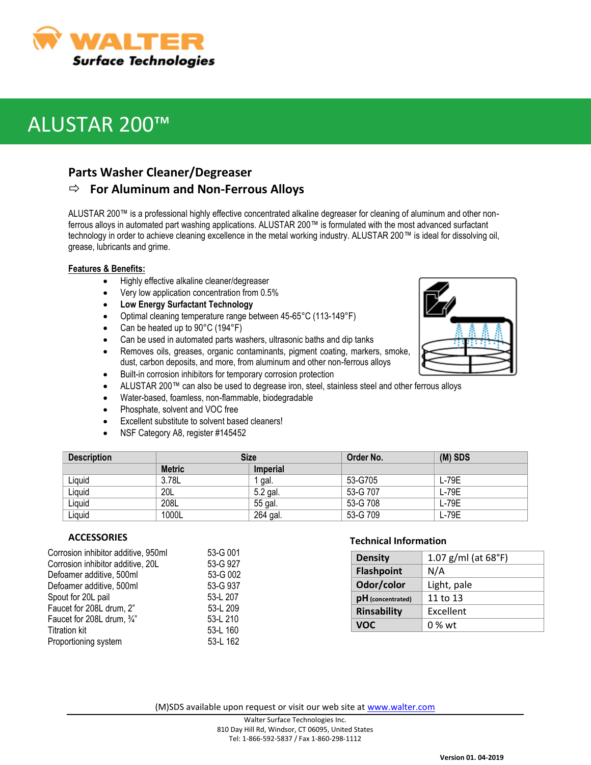

# ALUSTAR 200™

### **Parts Washer Cleaner/Degreaser**

### **For Aluminum and Non-Ferrous Alloys**

ALUSTAR 200™ is a professional highly effective concentrated alkaline degreaser for cleaning of aluminum and other nonferrous alloys in automated part washing applications. ALUSTAR 200™ is formulated with the most advanced surfactant technology in order to achieve cleaning excellence in the metal working industry. ALUSTAR 200™ is ideal for dissolving oil, grease, lubricants and grime.

#### **Features & Benefits:**

- Highly effective alkaline cleaner/degreaser
- Very low application concentration from 0.5%
- **Low Energy Surfactant Technology**
- Optimal cleaning temperature range between 45-65°C (113-149°F)
- Can be heated up to 90°C (194°F)
- Can be used in automated parts washers, ultrasonic baths and dip tanks
- Removes oils, greases, organic contaminants, pigment coating, markers, smoke, dust, carbon deposits, and more, from aluminum and other non-ferrous alloys
- Built-in corrosion inhibitors for temporary corrosion protection
- ALUSTAR 200™ can also be used to degrease iron, steel, stainless steel and other ferrous alloys
- Water-based, foamless, non-flammable, biodegradable
- Phosphate, solvent and VOC free
- Excellent substitute to solvent based cleaners!
- NSF Category A8, register #145452

| <b>Description</b> | <b>Size</b>   |                 | Order No. | $(M)$ SDS |
|--------------------|---------------|-----------------|-----------|-----------|
|                    | <b>Metric</b> | <b>Imperial</b> |           |           |
| Liquid             | 3.78L         | gal.            | 53-G705   | L-79E     |
| Liquid             | 20L           | 5.2 gal.        | 53-G 707  | $L-79E$   |
| Liquid             | 208L          | 55 gal.         | 53-G 708  | $L-79E$   |
| Liguid             | 1000L         | 264 gal.        | 53-G 709  | L-79E     |

### **ACCESSORIES**

| Corrosion inhibitor additive, 950ml | 53-G 001 |
|-------------------------------------|----------|
| Corrosion inhibitor additive, 20L   | 53-G 927 |
| Defoamer additive, 500ml            | 53-G 002 |
| Defoamer additive, 500ml            | 53-G 937 |
| Spout for 20L pail                  | 53-L 207 |
| Faucet for 208L drum, 2"            | 53-L 209 |
| Faucet for 208L drum, 3/4"          | 53-L 210 |
| <b>Titration kit</b>                | 53-L 160 |
| Proportioning system                | 53-L 162 |
|                                     |          |

### **Technical Information**

| <b>Density</b>     | 1.07 g/ml (at $68^{\circ}$ F) |  |
|--------------------|-------------------------------|--|
| <b>Flashpoint</b>  | N/A                           |  |
| Odor/color         | Light, pale                   |  |
| pH (concentrated)  | 11 to 13                      |  |
| <b>Rinsability</b> | Excellent                     |  |
| <b>VOC</b>         | 0 % wt                        |  |

(M)SDS available upon request or visit our web site at [www.walter.com](http://www.walter.com/)

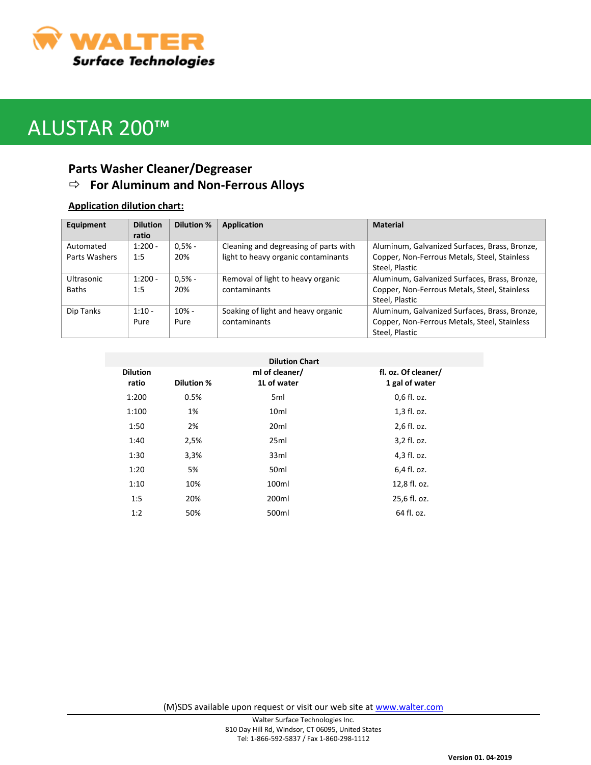

# ALUSTAR 200™

## **Parts Washer Cleaner/Degreaser For Aluminum and Non-Ferrous Alloys**

### **Application dilution chart:**

| Equipment     | <b>Dilution</b> | <b>Dilution %</b> | Application                           | <b>Material</b>                               |
|---------------|-----------------|-------------------|---------------------------------------|-----------------------------------------------|
|               | ratio           |                   |                                       |                                               |
| Automated     | $1:200 -$       | $0.5% -$          | Cleaning and degreasing of parts with | Aluminum, Galvanized Surfaces, Brass, Bronze, |
| Parts Washers | 1:5             | 20%               | light to heavy organic contaminants   | Copper, Non-Ferrous Metals, Steel, Stainless  |
|               |                 |                   |                                       | Steel, Plastic                                |
| Ultrasonic    | $1:200 -$       | $0.5% -$          | Removal of light to heavy organic     | Aluminum, Galvanized Surfaces, Brass, Bronze, |
| Baths         | 1:5             | 20%               | contaminants                          | Copper, Non-Ferrous Metals, Steel, Stainless  |
|               |                 |                   |                                       | Steel, Plastic                                |
| Dip Tanks     | $1:10 -$        | $10% -$           | Soaking of light and heavy organic    | Aluminum, Galvanized Surfaces, Brass, Bronze, |
|               | Pure            | Pure              | contaminants                          | Copper, Non-Ferrous Metals, Steel, Stainless  |
|               |                 |                   |                                       | Steel, Plastic                                |

|                   | <b>Dilution Chart</b>         |                                       |
|-------------------|-------------------------------|---------------------------------------|
| <b>Dilution %</b> | ml of cleaner/<br>1L of water | fl. oz. Of cleaner/<br>1 gal of water |
| 0.5%              | 5 <sub>ml</sub>               | 0,6 fl. oz.                           |
| 1%                | 10 <sub>ml</sub>              | 1,3 fl. oz.                           |
| 2%                | 20 <sub>ml</sub>              | 2,6 fl. oz.                           |
| 2,5%              | 25ml                          | 3,2 fl. oz.                           |
| 3,3%              | 33ml                          | 4,3 fl. oz.                           |
| 5%                | 50 <sub>ml</sub>              | 6,4 fl. oz.                           |
| 10%               | 100ml                         | 12,8 fl. oz.                          |
| 20%               | 200ml                         | 25,6 fl. oz.                          |
| 50%               | 500ml                         | 64 fl. oz.                            |
|                   |                               |                                       |

(M)SDS available upon request or visit our web site at [www.walter.com](http://www.walter.com/)